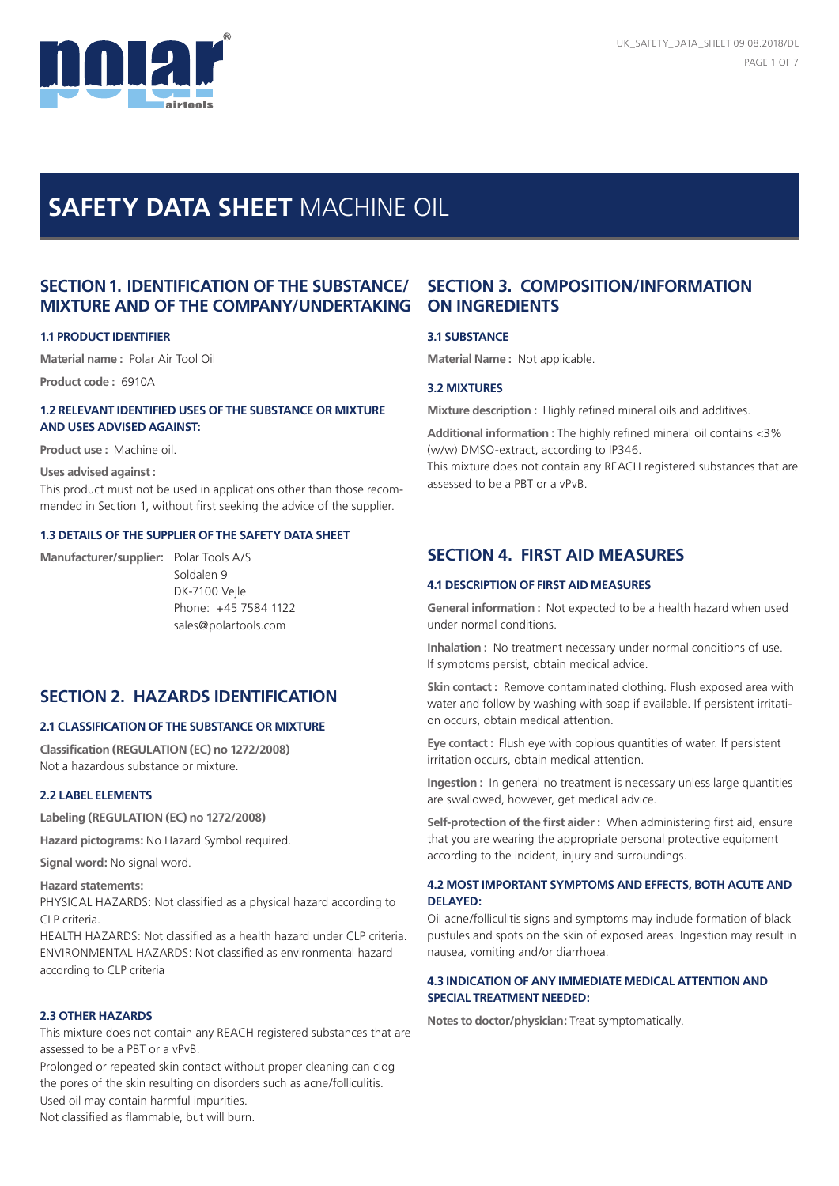

# **SAFETY DATA SHEET** MACHINE OIL

# **SECTION 1. IDENTIFICATION OF THE SUBSTANCE/ MIXTURE AND OF THE COMPANY/UNDERTAKING**

#### **1.1 PRODUCT IDENTIFIER**

**Material name :** Polar Air Tool Oil

**Product code :** 6910A

## **1.2 RELEVANT IDENTIFIED USES OF THE SUBSTANCE OR MIXTURE AND USES ADVISED AGAINST:**

**Product use :** Machine oil.

**Uses advised against :** This product must not be used in applications other than those recommended in Section 1, without first seeking the advice of the supplier.

## **1.3 DETAILS OF THE SUPPLIER OF THE SAFETY DATA SHEET**

**Manufacturer/supplier:** Polar Tools A/S Soldalen 9 DK-7100 Vejle Phone: +45 7584 1122 sales@polartools.com

# **SECTION 2. HAZARDS IDENTIFICATION**

#### **2.1 CLASSIFICATION OF THE SUBSTANCE OR MIXTURE**

**Classification (REGULATION (EC) no 1272/2008)** Not a hazardous substance or mixture.

## **2.2 LABEL ELEMENTS**

**Labeling (REGULATION (EC) no 1272/2008)** 

**Hazard pictograms:** No Hazard Symbol required.

**Signal word:** No signal word.

**Hazard statements:**

PHYSICAL HAZARDS: Not classified as a physical hazard according to CLP criteria.

HEALTH HAZARDS: Not classified as a health hazard under CLP criteria. ENVIRONMENTAL HAZARDS: Not classified as environmental hazard according to CLP criteria

#### **2.3 OTHER HAZARDS**

This mixture does not contain any REACH registered substances that are assessed to be a PBT or a vPvB.

Prolonged or repeated skin contact without proper cleaning can clog the pores of the skin resulting on disorders such as acne/folliculitis. Used oil may contain harmful impurities.

Not classified as flammable, but will burn.

# **SECTION 3. COMPOSITION/INFORMATION ON INGREDIENTS**

## **3.1 SUBSTANCE**

**Material Name :** Not applicable.

#### **3.2 MIXTURES**

**Mixture description :** Highly refined mineral oils and additives.

**Additional information :** The highly refined mineral oil contains <3% (w/w) DMSO-extract, according to IP346.

This mixture does not contain any REACH registered substances that are assessed to be a PBT or a vPvB.

# **SECTION 4. FIRST AID MEASURES**

## **4.1 DESCRIPTION OF FIRST AID MEASURES**

**General information :** Not expected to be a health hazard when used under normal conditions.

**Inhalation :** No treatment necessary under normal conditions of use. If symptoms persist, obtain medical advice.

**Skin contact :** Remove contaminated clothing. Flush exposed area with water and follow by washing with soap if available. If persistent irritation occurs, obtain medical attention.

**Eye contact :** Flush eye with copious quantities of water. If persistent irritation occurs, obtain medical attention.

**Ingestion :** In general no treatment is necessary unless large quantities are swallowed, however, get medical advice.

**Self-protection of the first aider :** When administering first aid, ensure that you are wearing the appropriate personal protective equipment according to the incident, injury and surroundings.

## **4.2 MOST IMPORTANT SYMPTOMS AND EFFECTS, BOTH ACUTE AND DELAYED:**

Oil acne/folliculitis signs and symptoms may include formation of black pustules and spots on the skin of exposed areas. Ingestion may result in nausea, vomiting and/or diarrhoea.

## **4.3 INDICATION OF ANY IMMEDIATE MEDICAL ATTENTION AND SPECIAL TREATMENT NEEDED:**

**Notes to doctor/physician:** Treat symptomatically.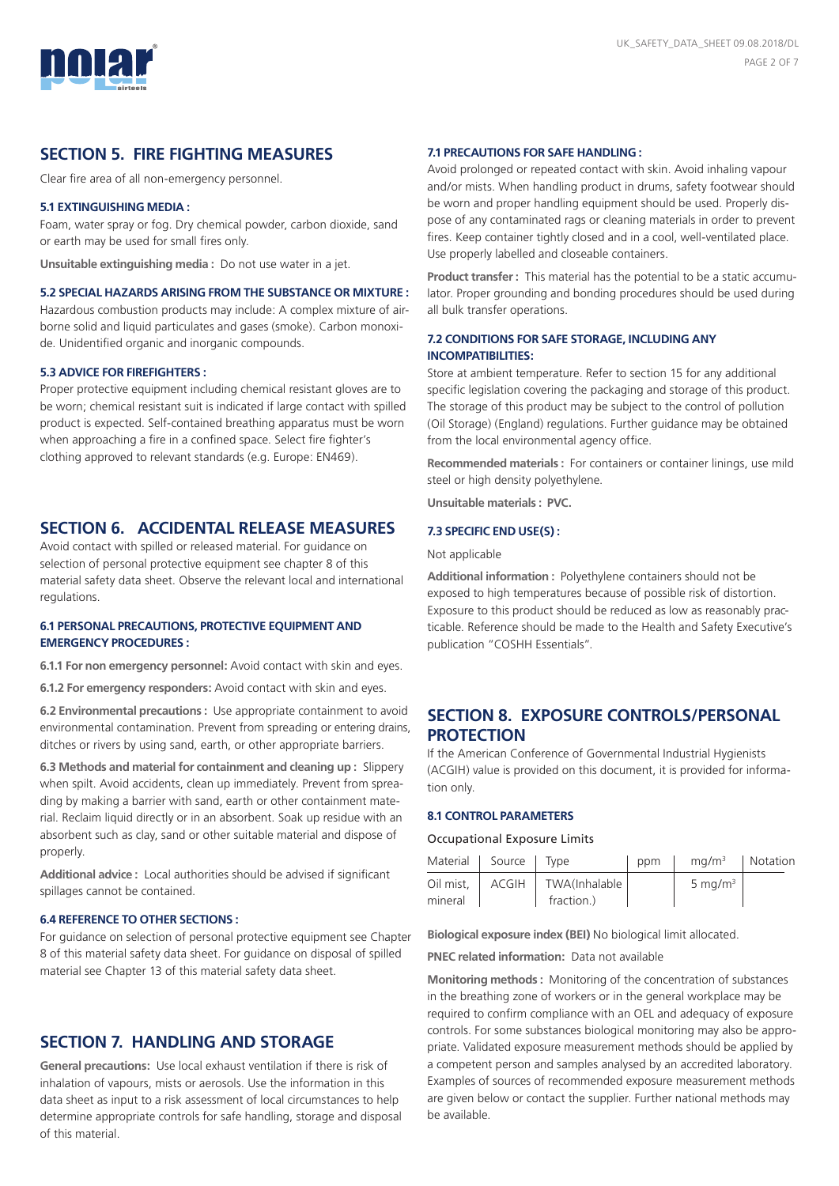

# **SECTION 5. FIRE FIGHTING MEASURES**

Clear fire area of all non-emergency personnel.

#### **5.1 EXTINGUISHING MEDIA :**

Foam, water spray or fog. Dry chemical powder, carbon dioxide, sand or earth may be used for small fires only.

**Unsuitable extinguishing media :** Do not use water in a jet.

#### **5.2 SPECIAL HAZARDS ARISING FROM THE SUBSTANCE OR MIXTURE :**

Hazardous combustion products may include: A complex mixture of airborne solid and liquid particulates and gases (smoke). Carbon monoxide. Unidentified organic and inorganic compounds.

#### **5.3 ADVICE FOR FIREFIGHTERS :**

Proper protective equipment including chemical resistant gloves are to be worn; chemical resistant suit is indicated if large contact with spilled product is expected. Self-contained breathing apparatus must be worn when approaching a fire in a confined space. Select fire fighter's clothing approved to relevant standards (e.g. Europe: EN469).

# **SECTION 6. ACCIDENTAL RELEASE MEASURES**

Avoid contact with spilled or released material. For guidance on selection of personal protective equipment see chapter 8 of this material safety data sheet. Observe the relevant local and international regulations.

#### **6.1 PERSONAL PRECAUTIONS, PROTECTIVE EQUIPMENT AND EMERGENCY PROCEDURES :**

**6.1.1 For non emergency personnel:** Avoid contact with skin and eyes.

**6.1.2 For emergency responders:** Avoid contact with skin and eyes.

**6.2 Environmental precautions :** Use appropriate containment to avoid environmental contamination. Prevent from spreading or entering drains, ditches or rivers by using sand, earth, or other appropriate barriers.

**6.3 Methods and material for containment and cleaning up :** Slippery when spilt. Avoid accidents, clean up immediately. Prevent from spreading by making a barrier with sand, earth or other containment material. Reclaim liquid directly or in an absorbent. Soak up residue with an absorbent such as clay, sand or other suitable material and dispose of properly.

**Additional advice :** Local authorities should be advised if significant spillages cannot be contained.

## **6.4 REFERENCE TO OTHER SECTIONS :**

For guidance on selection of personal protective equipment see Chapter 8 of this material safety data sheet. For guidance on disposal of spilled material see Chapter 13 of this material safety data sheet.

# **SECTION 7. HANDLING AND STORAGE**

**General precautions:** Use local exhaust ventilation if there is risk of inhalation of vapours, mists or aerosols. Use the information in this data sheet as input to a risk assessment of local circumstances to help determine appropriate controls for safe handling, storage and disposal of this material.

## **7.1 PRECAUTIONS FOR SAFE HANDLING :**

Avoid prolonged or repeated contact with skin. Avoid inhaling vapour and/or mists. When handling product in drums, safety footwear should be worn and proper handling equipment should be used. Properly dispose of any contaminated rags or cleaning materials in order to prevent fires. Keep container tightly closed and in a cool, well-ventilated place. Use properly labelled and closeable containers.

**Product transfer :** This material has the potential to be a static accumulator. Proper grounding and bonding procedures should be used during all bulk transfer operations.

## **7.2 CONDITIONS FOR SAFE STORAGE, INCLUDING ANY INCOMPATIBILITIES:**

Store at ambient temperature. Refer to section 15 for any additional specific legislation covering the packaging and storage of this product. The storage of this product may be subject to the control of pollution (Oil Storage) (England) regulations. Further guidance may be obtained from the local environmental agency office.

**Recommended materials :** For containers or container linings, use mild steel or high density polyethylene.

**Unsuitable materials : PVC.**

## **7.3 SPECIFIC END USE(S) :**

#### Not applicable

**Additional information :** Polyethylene containers should not be exposed to high temperatures because of possible risk of distortion. Exposure to this product should be reduced as low as reasonably practicable. Reference should be made to the Health and Safety Executive's publication "COSHH Essentials".

# **SECTION 8. EXPOSURE CONTROLS/PERSONAL PROTECTION**

If the American Conference of Governmental Industrial Hygienists (ACGIH) value is provided on this document, it is provided for information only.

## **8.1 CONTROL PARAMETERS**

#### Occupational Exposure Limits

| Material  | Source  | Type           | ppm | mg/m <sup>3</sup> | Notation |
|-----------|---------|----------------|-----|-------------------|----------|
| Oil mist, | ACGIH I | TWA(Inhalable) |     | 5 mg/m $3$        |          |
| mineral   |         | fraction.)     |     |                   |          |

**Biological exposure index (BEI)** No biological limit allocated.

**PNEC related information:** Data not available

**Monitoring methods :** Monitoring of the concentration of substances in the breathing zone of workers or in the general workplace may be required to confirm compliance with an OEL and adequacy of exposure controls. For some substances biological monitoring may also be appropriate. Validated exposure measurement methods should be applied by a competent person and samples analysed by an accredited laboratory. Examples of sources of recommended exposure measurement methods are given below or contact the supplier. Further national methods may be available.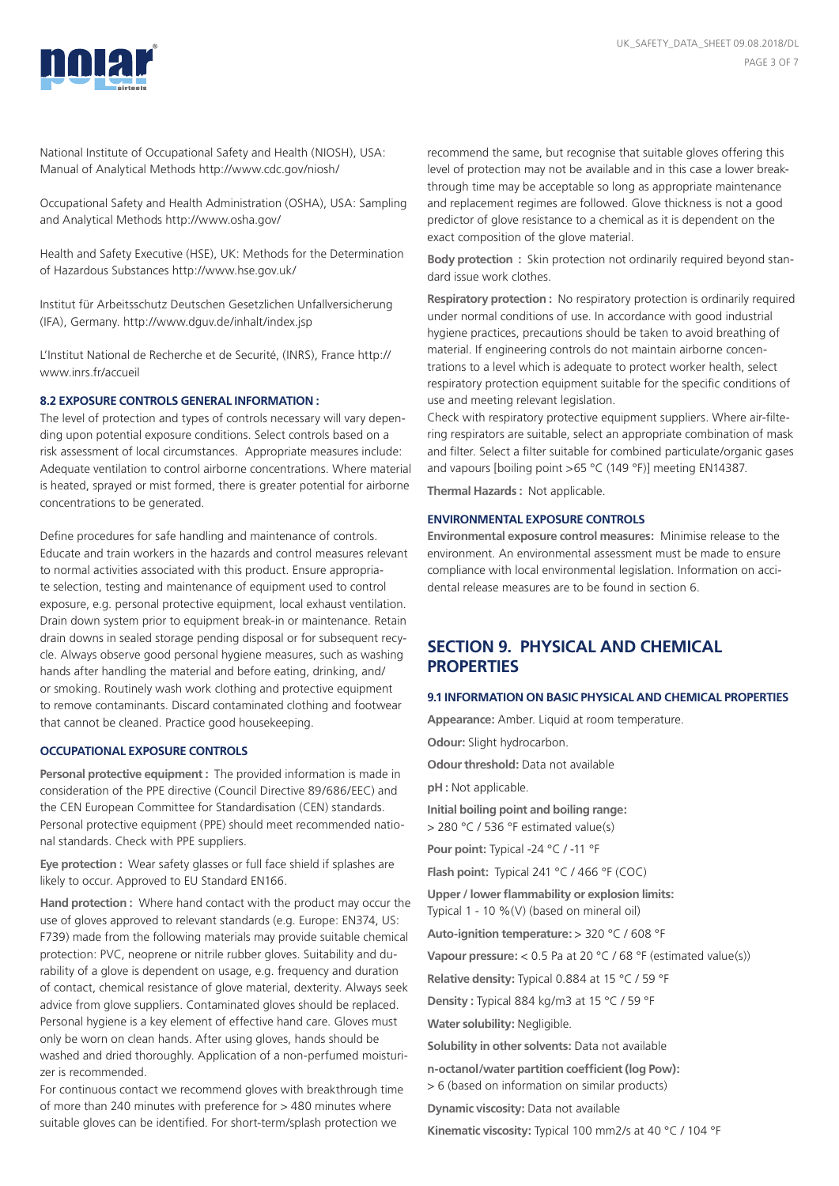

National Institute of Occupational Safety and Health (NIOSH), USA: Manual of Analytical Methods http://www.cdc.gov/niosh/

Occupational Safety and Health Administration (OSHA), USA: Sampling and Analytical Methods http://www.osha.gov/

Health and Safety Executive (HSE), UK: Methods for the Determination of Hazardous Substances http://www.hse.gov.uk/

Institut für Arbeitsschutz Deutschen Gesetzlichen Unfallversicherung (IFA), Germany. http://www.dguv.de/inhalt/index.jsp

L'Institut National de Recherche et de Securité, (INRS), France http:// www.inrs.fr/accueil

### **8.2 EXPOSURE CONTROLS GENERAL INFORMATION :**

The level of protection and types of controls necessary will vary depending upon potential exposure conditions. Select controls based on a risk assessment of local circumstances. Appropriate measures include: Adequate ventilation to control airborne concentrations. Where material is heated, sprayed or mist formed, there is greater potential for airborne concentrations to be generated.

Define procedures for safe handling and maintenance of controls. Educate and train workers in the hazards and control measures relevant to normal activities associated with this product. Ensure appropriate selection, testing and maintenance of equipment used to control exposure, e.g. personal protective equipment, local exhaust ventilation. Drain down system prior to equipment break-in or maintenance. Retain drain downs in sealed storage pending disposal or for subsequent recycle. Always observe good personal hygiene measures, such as washing hands after handling the material and before eating, drinking, and/ or smoking. Routinely wash work clothing and protective equipment to remove contaminants. Discard contaminated clothing and footwear that cannot be cleaned. Practice good housekeeping.

#### **OCCUPATIONAL EXPOSURE CONTROLS**

**Personal protective equipment :** The provided information is made in consideration of the PPE directive (Council Directive 89/686/EEC) and the CEN European Committee for Standardisation (CEN) standards. Personal protective equipment (PPE) should meet recommended national standards. Check with PPE suppliers.

**Eye protection :** Wear safety glasses or full face shield if splashes are likely to occur. Approved to EU Standard EN166.

**Hand protection :** Where hand contact with the product may occur the use of gloves approved to relevant standards (e.g. Europe: EN374, US: F739) made from the following materials may provide suitable chemical protection: PVC, neoprene or nitrile rubber gloves. Suitability and durability of a glove is dependent on usage, e.g. frequency and duration of contact, chemical resistance of glove material, dexterity. Always seek advice from glove suppliers. Contaminated gloves should be replaced. Personal hygiene is a key element of effective hand care. Gloves must only be worn on clean hands. After using gloves, hands should be washed and dried thoroughly. Application of a non-perfumed moisturizer is recommended.

For continuous contact we recommend gloves with breakthrough time of more than 240 minutes with preference for > 480 minutes where suitable gloves can be identified. For short-term/splash protection we

recommend the same, but recognise that suitable gloves offering this level of protection may not be available and in this case a lower breakthrough time may be acceptable so long as appropriate maintenance and replacement regimes are followed. Glove thickness is not a good predictor of glove resistance to a chemical as it is dependent on the exact composition of the glove material.

**Body protection :** Skin protection not ordinarily required beyond standard issue work clothes.

**Respiratory protection :** No respiratory protection is ordinarily required under normal conditions of use. In accordance with good industrial hygiene practices, precautions should be taken to avoid breathing of material. If engineering controls do not maintain airborne concentrations to a level which is adequate to protect worker health, select respiratory protection equipment suitable for the specific conditions of use and meeting relevant legislation.

Check with respiratory protective equipment suppliers. Where air-filtering respirators are suitable, select an appropriate combination of mask and filter. Select a filter suitable for combined particulate/organic gases and vapours [boiling point >65 °C (149 °F)] meeting EN14387.

**Thermal Hazards :** Not applicable.

## **ENVIRONMENTAL EXPOSURE CONTROLS**

**Environmental exposure control measures:** Minimise release to the environment. An environmental assessment must be made to ensure compliance with local environmental legislation. Information on accidental release measures are to be found in section 6.

# **SECTION 9. PHYSICAL AND CHEMICAL PROPERTIES**

#### **9.1 INFORMATION ON BASIC PHYSICAL AND CHEMICAL PROPERTIES**

**Appearance:** Amber. Liquid at room temperature.

**Odour:** Slight hydrocarbon.

**Odour threshold:** Data not available

**pH :** Not applicable.

**Initial boiling point and boiling range:** > 280 °C / 536 °F estimated value(s)

**Pour point:** Typical -24 °C / -11 °F

**Flash point:** Typical 241 °C / 466 °F (COC)

**Upper / lower flammability or explosion limits:**  Typical 1 - 10 %(V) (based on mineral oil)

**Auto-ignition temperature:** > 320 °C / 608 °F

**Vapour pressure:** < 0.5 Pa at 20 °C / 68 °F (estimated value(s))

**Relative density:** Typical 0.884 at 15 °C / 59 °F

**Density :** Typical 884 kg/m3 at 15 °C / 59 °F

**Water solubility:** Negligible.

**Solubility in other solvents:** Data not available

**n-octanol/water partition coefficient (log Pow):** > 6 (based on information on similar products)

**Dynamic viscosity:** Data not available

**Kinematic viscosity:** Typical 100 mm2/s at 40 °C / 104 °F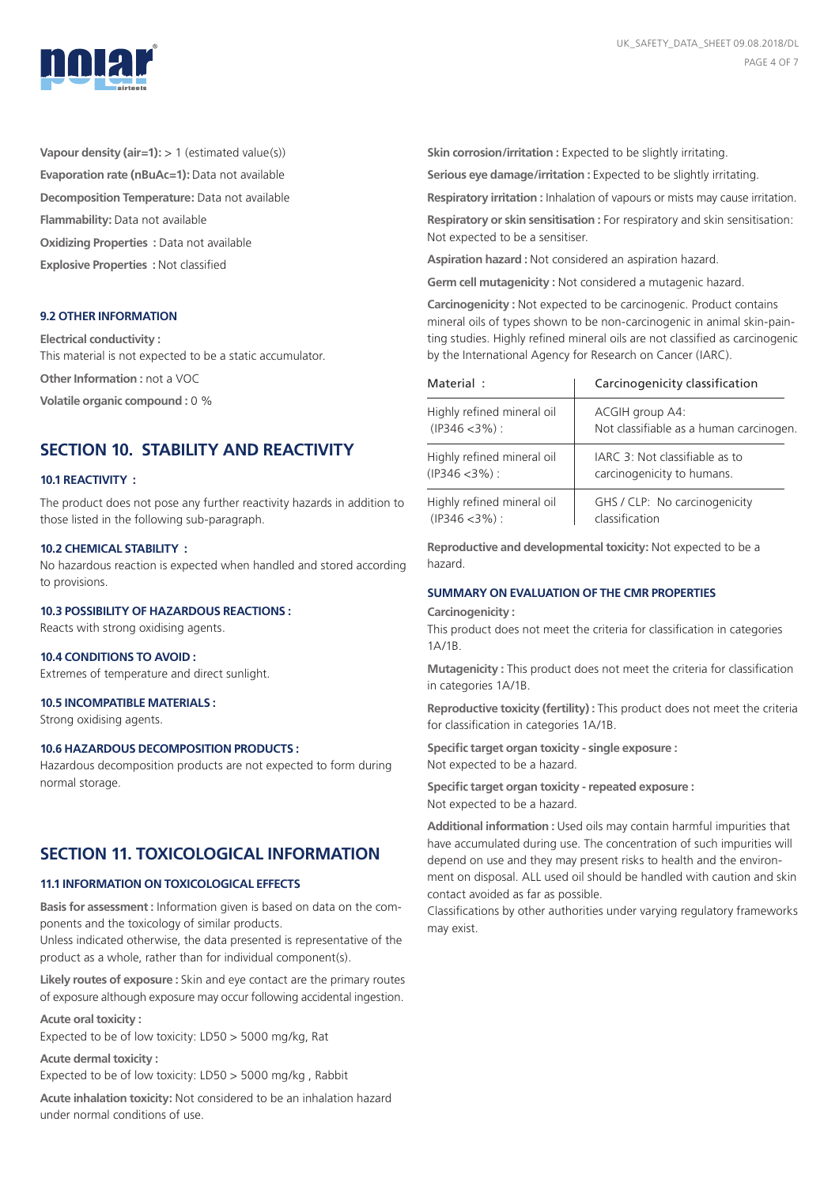

**Vapour density (air=1):** > 1 (estimated value(s)) **Evaporation rate (nBuAc=1):** Data not available **Decomposition Temperature:** Data not available **Flammability:** Data not available **Oxidizing Properties :** Data not available **Explosive Properties :** Not classified

## **9.2 OTHER INFORMATION**

**Electrical conductivity :** This material is not expected to be a static accumulator. **Other Information :** not a VOC **Volatile organic compound :** 0 %

# **SECTION 10. STABILITY AND REACTIVITY**

#### **10.1 REACTIVITY :**

The product does not pose any further reactivity hazards in addition to those listed in the following sub-paragraph.

#### **10.2 CHEMICAL STABILITY :**

No hazardous reaction is expected when handled and stored according to provisions.

## **10.3 POSSIBILITY OF HAZARDOUS REACTIONS :**

Reacts with strong oxidising agents.

## **10.4 CONDITIONS TO AVOID :**

Extremes of temperature and direct sunlight.

#### **10.5 INCOMPATIBLE MATERIALS :**

Strong oxidising agents.

#### **10.6 HAZARDOUS DECOMPOSITION PRODUCTS :**

Hazardous decomposition products are not expected to form during normal storage.

# **SECTION 11. TOXICOLOGICAL INFORMATION**

# **11.1 INFORMATION ON TOXICOLOGICAL EFFECTS**

**Basis for assessment :** Information given is based on data on the components and the toxicology of similar products.

Unless indicated otherwise, the data presented is representative of the product as a whole, rather than for individual component(s).

**Likely routes of exposure :** Skin and eye contact are the primary routes of exposure although exposure may occur following accidental ingestion.

**Acute oral toxicity :** Expected to be of low toxicity: LD50 > 5000 mg/kg, Rat

**Acute dermal toxicity :** Expected to be of low toxicity: LD50 > 5000 mg/kg , Rabbit

**Acute inhalation toxicity:** Not considered to be an inhalation hazard under normal conditions of use.

**Skin corrosion/irritation :** Expected to be slightly irritating.

**Serious eye damage/irritation :** Expected to be slightly irritating.

**Respiratory irritation :** Inhalation of vapours or mists may cause irritation.

**Respiratory or skin sensitisation :** For respiratory and skin sensitisation: Not expected to be a sensitiser.

**Aspiration hazard :** Not considered an aspiration hazard.

**Germ cell mutagenicity :** Not considered a mutagenic hazard.

**Carcinogenicity :** Not expected to be carcinogenic. Product contains mineral oils of types shown to be non-carcinogenic in animal skin-painting studies. Highly refined mineral oils are not classified as carcinogenic by the International Agency for Research on Cancer (IARC).

| Material:                                       | Carcinogenicity classification<br>ACGIH group A4:<br>Not classifiable as a human carcinogen. |  |  |
|-------------------------------------------------|----------------------------------------------------------------------------------------------|--|--|
| Highly refined mineral oil<br>$(IP346 < 3\%)$ : |                                                                                              |  |  |
| Highly refined mineral oil                      | $IARC$ 3: Not classifiable as to                                                             |  |  |
| $(IP346 < 3\%)$ :                               | carcinogenicity to humans.                                                                   |  |  |
| Highly refined mineral oil                      | GHS / CLP: No carcinogenicity                                                                |  |  |
| $(IP346 < 3\%)$ :                               | classification                                                                               |  |  |

**Reproductive and developmental toxicity:** Not expected to be a hazard.

# **SUMMARY ON EVALUATION OF THE CMR PROPERTIES**

**Carcinogenicity :** 

This product does not meet the criteria for classification in categories 1A/1B.

**Mutagenicity :** This product does not meet the criteria for classification in categories 1A/1B.

**Reproductive toxicity (fertility) :** This product does not meet the criteria for classification in categories 1A/1B.

**Specific target organ toxicity - single exposure :** Not expected to be a hazard.

**Specific target organ toxicity - repeated exposure :** Not expected to be a hazard.

**Additional information :** Used oils may contain harmful impurities that have accumulated during use. The concentration of such impurities will depend on use and they may present risks to health and the environment on disposal. ALL used oil should be handled with caution and skin contact avoided as far as possible.

Classifications by other authorities under varying regulatory frameworks may exist.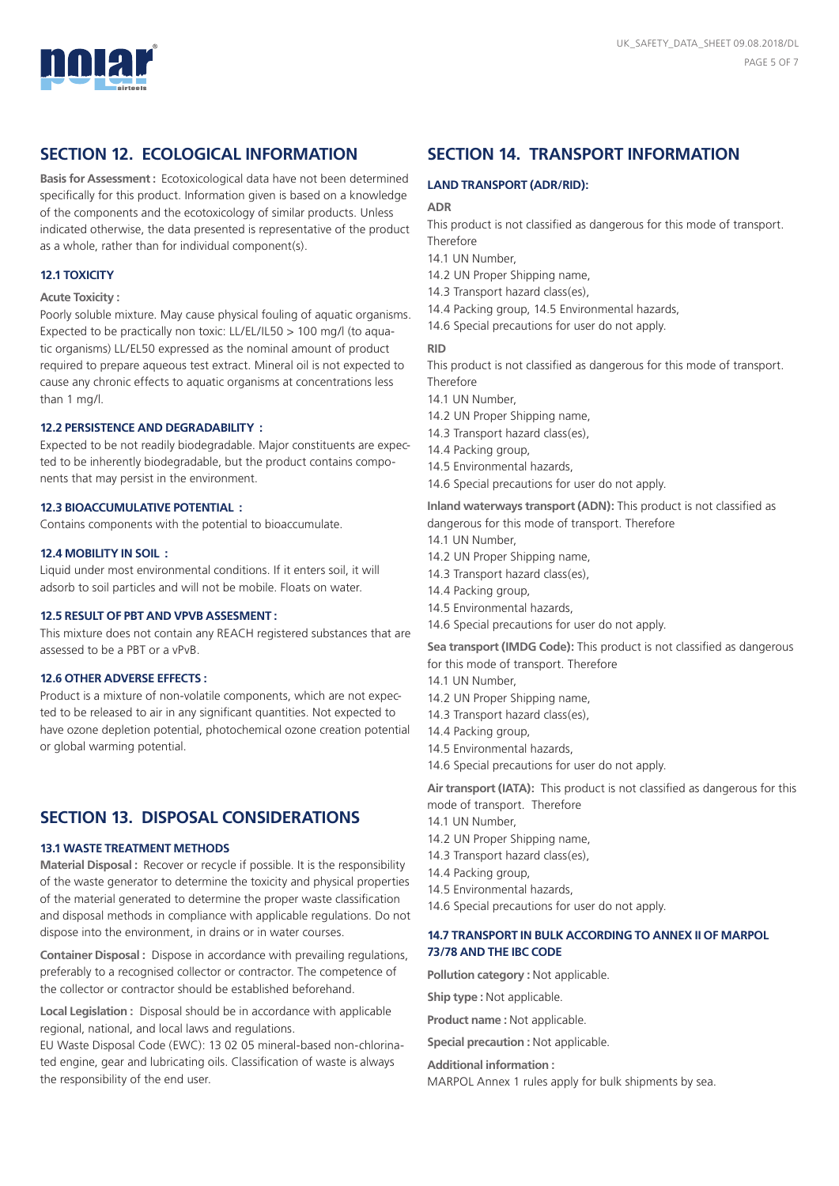

# **SECTION 12. ECOLOGICAL INFORMATION**

**Basis for Assessment :** Ecotoxicological data have not been determined specifically for this product. Information given is based on a knowledge of the components and the ecotoxicology of similar products. Unless indicated otherwise, the data presented is representative of the product as a whole, rather than for individual component(s).

#### **12.1 TOXICITY**

#### **Acute Toxicity :**

Poorly soluble mixture. May cause physical fouling of aquatic organisms. Expected to be practically non toxic: LL/EL/IL50 > 100 mg/l (to aquatic organisms) LL/EL50 expressed as the nominal amount of product required to prepare aqueous test extract. Mineral oil is not expected to cause any chronic effects to aquatic organisms at concentrations less than 1 mg/l.

## **12.2 PERSISTENCE AND DEGRADABILITY :**

Expected to be not readily biodegradable. Major constituents are expected to be inherently biodegradable, but the product contains components that may persist in the environment.

## **12.3 BIOACCUMULATIVE POTENTIAL :**

Contains components with the potential to bioaccumulate.

#### **12.4 MOBILITY IN SOIL :**

Liquid under most environmental conditions. If it enters soil, it will adsorb to soil particles and will not be mobile. Floats on water.

#### **12.5 RESULT OF PBT AND VPVB ASSESMENT :**

This mixture does not contain any REACH registered substances that are assessed to be a PBT or a vPvB.

## **12.6 OTHER ADVERSE EFFECTS :**

Product is a mixture of non-volatile components, which are not expected to be released to air in any significant quantities. Not expected to have ozone depletion potential, photochemical ozone creation potential or global warming potential.

# **SECTION 13. DISPOSAL CONSIDERATIONS**

#### **13.1 WASTE TREATMENT METHODS**

**Material Disposal :** Recover or recycle if possible. It is the responsibility of the waste generator to determine the toxicity and physical properties of the material generated to determine the proper waste classification and disposal methods in compliance with applicable regulations. Do not dispose into the environment, in drains or in water courses.

**Container Disposal :** Dispose in accordance with prevailing regulations, preferably to a recognised collector or contractor. The competence of the collector or contractor should be established beforehand.

**Local Legislation :** Disposal should be in accordance with applicable regional, national, and local laws and regulations.

EU Waste Disposal Code (EWC): 13 02 05 mineral-based non-chlorinated engine, gear and lubricating oils. Classification of waste is always the responsibility of the end user.

# **SECTION 14. TRANSPORT INFORMATION**

#### **LAND TRANSPORT (ADR/RID):**

#### **ADR**

This product is not classified as dangerous for this mode of transport. Therefore

14.1 UN Number,

- 14.2 UN Proper Shipping name,
- 14.3 Transport hazard class(es),
- 14.4 Packing group, 14.5 Environmental hazards,
- 14.6 Special precautions for user do not apply.

**RID** 

This product is not classified as dangerous for this mode of transport. Therefore

14.1 UN Number,

- 14.2 UN Proper Shipping name,
- 14.3 Transport hazard class(es),
- 14.4 Packing group,
- 14.5 Environmental hazards,
- 14.6 Special precautions for user do not apply.

**Inland waterways transport (ADN):** This product is not classified as dangerous for this mode of transport. Therefore

- 14.1 UN Number,
- 14.2 UN Proper Shipping name,
- 14.3 Transport hazard class(es),
- 14.4 Packing group.
- 14.5 Environmental hazards,
- 14.6 Special precautions for user do not apply.

**Sea transport (IMDG Code):** This product is not classified as dangerous for this mode of transport. Therefore

- 14.1 UN Number,
- 14.2 UN Proper Shipping name,
- 14.3 Transport hazard class(es),
- 14.4 Packing group,
- 14.5 Environmental hazards,
- 14.6 Special precautions for user do not apply.

**Air transport (IATA):** This product is not classified as dangerous for this mode of transport. Therefore

- 14.1 UN Number,
- 14.2 UN Proper Shipping name,
- 14.3 Transport hazard class(es),
- 14.4 Packing group,
- 14.5 Environmental hazards,
- 14.6 Special precautions for user do not apply.

## **14.7 TRANSPORT IN BULK ACCORDING TO ANNEX II OF MARPOL 73/78 AND THE IBC CODE**

**Pollution category :** Not applicable.

**Ship type :** Not applicable.

**Product name :** Not applicable.

**Special precaution :** Not applicable.

**Additional information :**

MARPOL Annex 1 rules apply for bulk shipments by sea.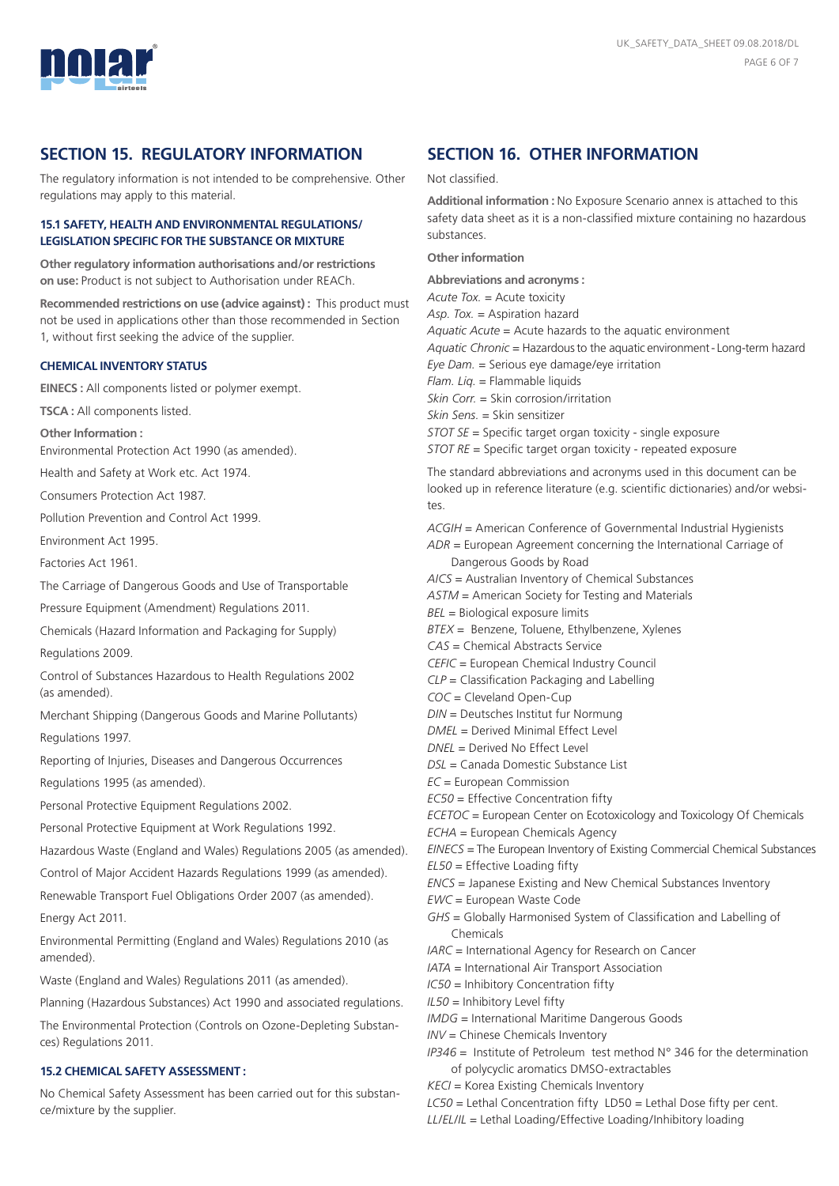

# **SECTION 15. REGULATORY INFORMATION**

The regulatory information is not intended to be comprehensive. Other regulations may apply to this material.

## **15.1 SAFETY, HEALTH AND ENVIRONMENTAL REGULATIONS/ LEGISLATION SPECIFIC FOR THE SUBSTANCE OR MIXTURE**

**Other regulatory information authorisations and/or restrictions on use:** Product is not subject to Authorisation under REACh.

**Recommended restrictions on use (advice against) :** This product must not be used in applications other than those recommended in Section 1, without first seeking the advice of the supplier.

#### **CHEMICAL INVENTORY STATUS**

**EINECS :** All components listed or polymer exempt.

**TSCA :** All components listed.

**Other Information :** 

Environmental Protection Act 1990 (as amended).

Health and Safety at Work etc. Act 1974.

Consumers Protection Act 1987.

Pollution Prevention and Control Act 1999.

Environment Act 1995.

Factories Act 1961.

The Carriage of Dangerous Goods and Use of Transportable

Pressure Equipment (Amendment) Regulations 2011.

Chemicals (Hazard Information and Packaging for Supply)

Regulations 2009.

Control of Substances Hazardous to Health Regulations 2002 (as amended).

Merchant Shipping (Dangerous Goods and Marine Pollutants) Regulations 1997.

Reporting of Injuries, Diseases and Dangerous Occurrences Regulations 1995 (as amended).

Personal Protective Equipment Regulations 2002.

Personal Protective Equipment at Work Regulations 1992.

Hazardous Waste (England and Wales) Regulations 2005 (as amended).

Control of Major Accident Hazards Regulations 1999 (as amended).

Renewable Transport Fuel Obligations Order 2007 (as amended). Energy Act 2011.

Environmental Permitting (England and Wales) Regulations 2010 (as amended).

Waste (England and Wales) Regulations 2011 (as amended).

Planning (Hazardous Substances) Act 1990 and associated regulations.

The Environmental Protection (Controls on Ozone-Depleting Substances) Regulations 2011.

## **15.2 CHEMICAL SAFETY ASSESSMENT :**

No Chemical Safety Assessment has been carried out for this substance/mixture by the supplier.

# **SECTION 16. OTHER INFORMATION**

Not classified.

**Additional information :** No Exposure Scenario annex is attached to this safety data sheet as it is a non-classified mixture containing no hazardous substances.

**Other information** 

**Abbreviations and acronyms :**

*Acute Tox.* = Acute toxicity

*Asp. Tox.* = Aspiration hazard

*Aquatic Acute* = Acute hazards to the aquatic environment

*Aquatic Chronic* = Hazardous to the aquatic environment - Long-term hazard

*Eye Dam.* = Serious eye damage/eye irritation

*Flam. Liq*. = Flammable liquids

*Skin Corr.* = Skin corrosion/irritation

*Skin Sens.* = Skin sensitizer

*STOT SE* = Specific target organ toxicity - single exposure

*STOT RE* = Specific target organ toxicity - repeated exposure

The standard abbreviations and acronyms used in this document can be looked up in reference literature (e.g. scientific dictionaries) and/or websites.

*ACGIH* = American Conference of Governmental Industrial Hygienists *ADR* = European Agreement concerning the International Carriage of Dangerous Goods by Road

*AICS* = Australian Inventory of Chemical Substances

*ASTM* = American Society for Testing and Materials

- *BEL* = Biological exposure limits
- *BTEX* = Benzene, Toluene, Ethylbenzene, Xylenes

*CAS* = Chemical Abstracts Service

*CEFIC* = European Chemical Industry Council

*CLP* = Classification Packaging and Labelling

*COC* = Cleveland Open-Cup

*DIN* = Deutsches Institut fur Normung

*DMEL* = Derived Minimal Effect Level

*DNEL* = Derived No Effect Level *DSL* = Canada Domestic Substance List

*EC* = European Commission *EC50* = Effective Concentration fifty

*ECETOC* = European Center on Ecotoxicology and Toxicology Of Chemicals

*ECHA* = European Chemicals Agency

*EINECS* = The European Inventory of Existing Commercial Chemical Substances

*EL50* = Effective Loading fifty

*ENCS* = Japanese Existing and New Chemical Substances Inventory

- *EWC* = European Waste Code
- *GHS* = Globally Harmonised System of Classification and Labelling of Chemicals
- *IARC* = International Agency for Research on Cancer

*IATA* = International Air Transport Association

*IC50* = Inhibitory Concentration fifty

*IL50* = Inhibitory Level fifty

*IMDG* = International Maritime Dangerous Goods

*INV* = Chinese Chemicals Inventory

*IP346* = Institute of Petroleum test method N° 346 for the determination of polycyclic aromatics DMSO-extractables

*KECI* = Korea Existing Chemicals Inventory

*LC50* = Lethal Concentration fifty LD50 = Lethal Dose fifty per cent.

*LL/EL/IL* = Lethal Loading/Effective Loading/Inhibitory loading